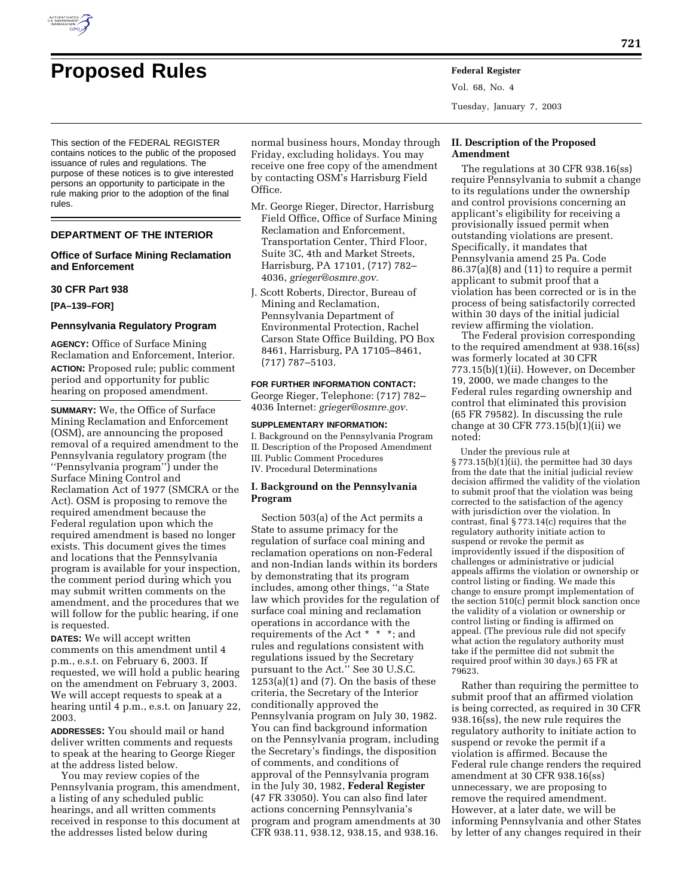

This section of the FEDERAL REGISTER contains notices to the public of the proposed issuance of rules and regulations. The purpose of these notices is to give interested persons an opportunity to participate in the rule making prior to the adoption of the final rules.

## **DEPARTMENT OF THE INTERIOR**

## **Office of Surface Mining Reclamation and Enforcement**

#### **30 CFR Part 938**

**[PA–139–FOR]** 

## **Pennsylvania Regulatory Program**

**AGENCY:** Office of Surface Mining Reclamation and Enforcement, Interior. **ACTION:** Proposed rule; public comment period and opportunity for public hearing on proposed amendment.

**SUMMARY:** We, the Office of Surface Mining Reclamation and Enforcement (OSM), are announcing the proposed removal of a required amendment to the Pennsylvania regulatory program (the ''Pennsylvania program'') under the Surface Mining Control and Reclamation Act of 1977 (SMCRA or the Act). OSM is proposing to remove the required amendment because the Federal regulation upon which the required amendment is based no longer exists. This document gives the times and locations that the Pennsylvania program is available for your inspection, the comment period during which you may submit written comments on the amendment, and the procedures that we will follow for the public hearing, if one is requested.

**DATES:** We will accept written comments on this amendment until 4 p.m., e.s.t. on February 6, 2003. If requested, we will hold a public hearing on the amendment on February 3, 2003. We will accept requests to speak at a hearing until 4 p.m., e.s.t. on January 22, 2003.

**ADDRESSES:** You should mail or hand deliver written comments and requests to speak at the hearing to George Rieger at the address listed below.

You may review copies of the Pennsylvania program, this amendment, a listing of any scheduled public hearings, and all written comments received in response to this document at the addresses listed below during

normal business hours, Monday through Friday, excluding holidays. You may receive one free copy of the amendment by contacting OSM's Harrisburg Field Office.

- Mr. George Rieger, Director, Harrisburg Field Office, Office of Surface Mining Reclamation and Enforcement, Transportation Center, Third Floor, Suite 3C, 4th and Market Streets, Harrisburg, PA 17101, (717) 782– 4036, *grieger@osmre.gov.*
- J. Scott Roberts, Director, Bureau of Mining and Reclamation, Pennsylvania Department of Environmental Protection, Rachel Carson State Office Building, PO Box 8461, Harrisburg, PA 17105–8461, (717) 787–5103.

**FOR FURTHER INFORMATION CONTACT:** George Rieger, Telephone: (717) 782– 4036 Internet: *grieger@osmre.gov.*

#### **SUPPLEMENTARY INFORMATION:**

I. Background on the Pennsylvania Program II. Description of the Proposed Amendment III. Public Comment Procedures IV. Procedural Determinations

## **I. Background on the Pennsylvania Program**

Section 503(a) of the Act permits a State to assume primacy for the regulation of surface coal mining and reclamation operations on non-Federal and non-Indian lands within its borders by demonstrating that its program includes, among other things, ''a State law which provides for the regulation of surface coal mining and reclamation operations in accordance with the requirements of the Act \* \* \*; and rules and regulations consistent with regulations issued by the Secretary pursuant to the Act.'' See 30 U.S.C.  $1253(a)(1)$  and  $(7)$ . On the basis of these criteria, the Secretary of the Interior conditionally approved the Pennsylvania program on July 30, 1982. You can find background information on the Pennsylvania program, including the Secretary's findings, the disposition of comments, and conditions of approval of the Pennsylvania program in the July 30, 1982, **Federal Register** (47 FR 33050). You can also find later actions concerning Pennsylvania's program and program amendments at 30 CFR 938.11, 938.12, 938.15, and 938.16.

# **II. Description of the Proposed Amendment**

Tuesday, January 7, 2003

Vol. 68, No. 4

The regulations at 30 CFR 938.16(ss) require Pennsylvania to submit a change to its regulations under the ownership and control provisions concerning an applicant's eligibility for receiving a provisionally issued permit when outstanding violations are present. Specifically, it mandates that Pennsylvania amend 25 Pa. Code 86.37(a)(8) and (11) to require a permit applicant to submit proof that a violation has been corrected or is in the process of being satisfactorily corrected within 30 days of the initial judicial review affirming the violation.

The Federal provision corresponding to the required amendment at 938.16(ss) was formerly located at 30 CFR 773.15(b)(1)(ii). However, on December 19, 2000, we made changes to the Federal rules regarding ownership and control that eliminated this provision (65 FR 79582). In discussing the rule change at 30 CFR 773.15(b)(1)(ii) we noted:

Under the previous rule at  $\S 773.15(b)(1)$ (ii), the permittee had 30 days from the date that the initial judicial review decision affirmed the validity of the violation to submit proof that the violation was being corrected to the satisfaction of the agency with jurisdiction over the violation. In contrast, final § 773.14(c) requires that the regulatory authority initiate action to suspend or revoke the permit as improvidently issued if the disposition of challenges or administrative or judicial appeals affirms the violation or ownership or control listing or finding. We made this change to ensure prompt implementation of the section 510(c) permit block sanction once the validity of a violation or ownership or control listing or finding is affirmed on appeal. (The previous rule did not specify what action the regulatory authority must take if the permittee did not submit the required proof within 30 days.) 65 FR at 79623.

Rather than requiring the permittee to submit proof that an affirmed violation is being corrected, as required in 30 CFR 938.16(ss), the new rule requires the regulatory authority to initiate action to suspend or revoke the permit if a violation is affirmed. Because the Federal rule change renders the required amendment at 30 CFR 938.16(ss) unnecessary, we are proposing to remove the required amendment. However, at a later date, we will be informing Pennsylvania and other States by letter of any changes required in their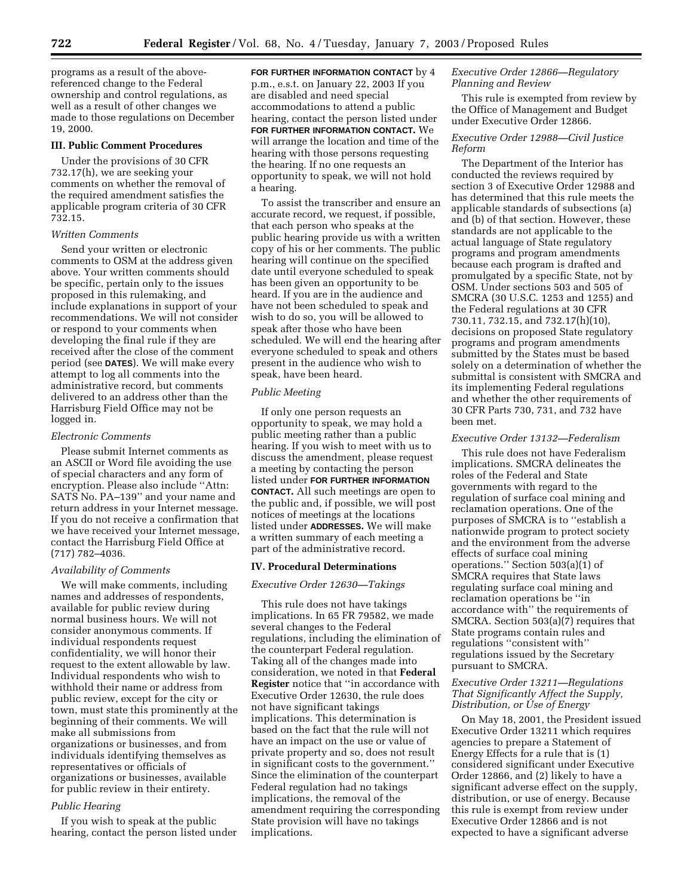programs as a result of the abovereferenced change to the Federal ownership and control regulations, as well as a result of other changes we made to those regulations on December 19, 2000.

## **III. Public Comment Procedures**

Under the provisions of 30 CFR 732.17(h), we are seeking your comments on whether the removal of the required amendment satisfies the applicable program criteria of 30 CFR 732.15.

## *Written Comments*

Send your written or electronic comments to OSM at the address given above. Your written comments should be specific, pertain only to the issues proposed in this rulemaking, and include explanations in support of your recommendations. We will not consider or respond to your comments when developing the final rule if they are received after the close of the comment period (see **DATES**). We will make every attempt to log all comments into the administrative record, but comments delivered to an address other than the Harrisburg Field Office may not be logged in.

#### *Electronic Comments*

Please submit Internet comments as an ASCII or Word file avoiding the use of special characters and any form of encryption. Please also include ''Attn: SATS No. PA–139'' and your name and return address in your Internet message. If you do not receive a confirmation that we have received your Internet message, contact the Harrisburg Field Office at (717) 782–4036.

## *Availability of Comments*

We will make comments, including names and addresses of respondents, available for public review during normal business hours. We will not consider anonymous comments. If individual respondents request confidentiality, we will honor their request to the extent allowable by law. Individual respondents who wish to withhold their name or address from public review, except for the city or town, must state this prominently at the beginning of their comments. We will make all submissions from organizations or businesses, and from individuals identifying themselves as representatives or officials of organizations or businesses, available for public review in their entirety.

## *Public Hearing*

If you wish to speak at the public hearing, contact the person listed under

**FOR FURTHER INFORMATION CONTACT** by 4 p.m., e.s.t. on January 22, 2003 If you are disabled and need special accommodations to attend a public hearing, contact the person listed under **FOR FURTHER INFORMATION CONTACT.** We will arrange the location and time of the hearing with those persons requesting the hearing. If no one requests an opportunity to speak, we will not hold a hearing.

To assist the transcriber and ensure an accurate record, we request, if possible, that each person who speaks at the public hearing provide us with a written copy of his or her comments. The public hearing will continue on the specified date until everyone scheduled to speak has been given an opportunity to be heard. If you are in the audience and have not been scheduled to speak and wish to do so, you will be allowed to speak after those who have been scheduled. We will end the hearing after everyone scheduled to speak and others present in the audience who wish to speak, have been heard.

## *Public Meeting*

If only one person requests an opportunity to speak, we may hold a public meeting rather than a public hearing. If you wish to meet with us to discuss the amendment, please request a meeting by contacting the person listed under **FOR FURTHER INFORMATION CONTACT.** All such meetings are open to the public and, if possible, we will post notices of meetings at the locations listed under **ADDRESSES.** We will make a written summary of each meeting a part of the administrative record.

## **IV. Procedural Determinations**

#### *Executive Order 12630—Takings*

This rule does not have takings implications. In 65 FR 79582, we made several changes to the Federal regulations, including the elimination of the counterpart Federal regulation. Taking all of the changes made into consideration, we noted in that **Federal Register** notice that ''in accordance with Executive Order 12630, the rule does not have significant takings implications. This determination is based on the fact that the rule will not have an impact on the use or value of private property and so, does not result in significant costs to the government.'' Since the elimination of the counterpart Federal regulation had no takings implications, the removal of the amendment requiring the corresponding State provision will have no takings implications.

## *Executive Order 12866—Regulatory Planning and Review*

This rule is exempted from review by the Office of Management and Budget under Executive Order 12866.

## *Executive Order 12988—Civil Justice Reform*

The Department of the Interior has conducted the reviews required by section 3 of Executive Order 12988 and has determined that this rule meets the applicable standards of subsections (a) and (b) of that section. However, these standards are not applicable to the actual language of State regulatory programs and program amendments because each program is drafted and promulgated by a specific State, not by OSM. Under sections 503 and 505 of SMCRA (30 U.S.C. 1253 and 1255) and the Federal regulations at 30 CFR 730.11, 732.15, and 732.17(h)(10), decisions on proposed State regulatory programs and program amendments submitted by the States must be based solely on a determination of whether the submittal is consistent with SMCRA and its implementing Federal regulations and whether the other requirements of 30 CFR Parts 730, 731, and 732 have been met.

## *Executive Order 13132—Federalism*

This rule does not have Federalism implications. SMCRA delineates the roles of the Federal and State governments with regard to the regulation of surface coal mining and reclamation operations. One of the purposes of SMCRA is to ''establish a nationwide program to protect society and the environment from the adverse effects of surface coal mining operations.'' Section 503(a)(1) of SMCRA requires that State laws regulating surface coal mining and reclamation operations be ''in accordance with'' the requirements of SMCRA. Section 503(a)(7) requires that State programs contain rules and regulations ''consistent with'' regulations issued by the Secretary pursuant to SMCRA.

## *Executive Order 13211—Regulations That Significantly Affect the Supply, Distribution, or Use of Energy*

On May 18, 2001, the President issued Executive Order 13211 which requires agencies to prepare a Statement of Energy Effects for a rule that is (1) considered significant under Executive Order 12866, and (2) likely to have a significant adverse effect on the supply, distribution, or use of energy. Because this rule is exempt from review under Executive Order 12866 and is not expected to have a significant adverse